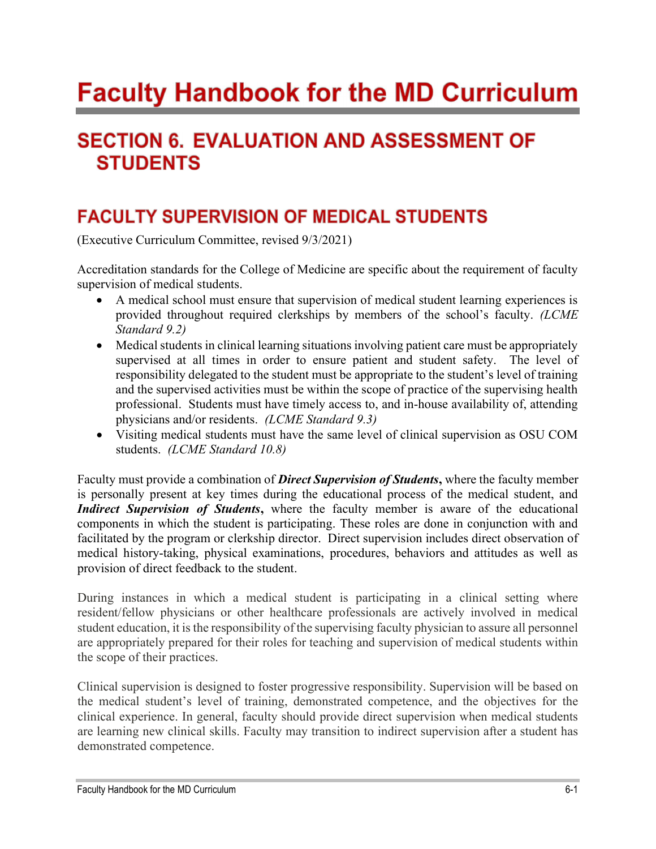# **Faculty Handbook for the MD Curriculum**

## **SECTION 6. EVALUATION AND ASSESSMENT OF STUDENTS**

### **FACULTY SUPERVISION OF MEDICAL STUDENTS**

(Executive Curriculum Committee, revised 9/3/2021)

 Accreditation standards for the College of Medicine are specific about the requirement of faculty supervision of medical students.

- A medical school must ensure that supervision of medical student learning experiences is provided throughout required clerkships by members of the school's faculty.  $(LCME)$ Standard 9.2)
- Medical students in clinical learning situations involving patient care must be appropriately supervised at all times in order to ensure patient and student safety. The level of responsibility delegated to the student must be appropriate to the student's level of training and the supervised activities must be within the scope of practice of the supervising health professional. Students must have timely access to, and in-house availability of, attending physicians and/or residents. (LCME Standard 9.3)
- Visiting medical students must have the same level of clinical supervision as OSU COM students. (LCME Standard 10.8)

Faculty must provide a combination of *Direct Supervision of Students*, where the faculty member is personally present at key times during the educational process of the medical student, and Indirect Supervision of Students, where the faculty member is aware of the educational components in which the student is participating. These roles are done in conjunction with and facilitated by the program or clerkship director. Direct supervision includes direct observation of medical history-taking, physical examinations, procedures, behaviors and attitudes as well as provision of direct feedback to the student.

 During instances in which a medical student is participating in a clinical setting where resident/fellow physicians or other healthcare professionals are actively involved in medical student education, it is the responsibility of the supervising faculty physician to assure all personnel are appropriately prepared for their roles for teaching and supervision of medical students within the scope of their practices.

 Clinical supervision is designed to foster progressive responsibility. Supervision will be based on the medical student's level of training, demonstrated competence, and the objectives for the clinical experience. In general, faculty should provide direct supervision when medical students are learning new clinical skills. Faculty may transition to indirect supervision after a student has demonstrated competence.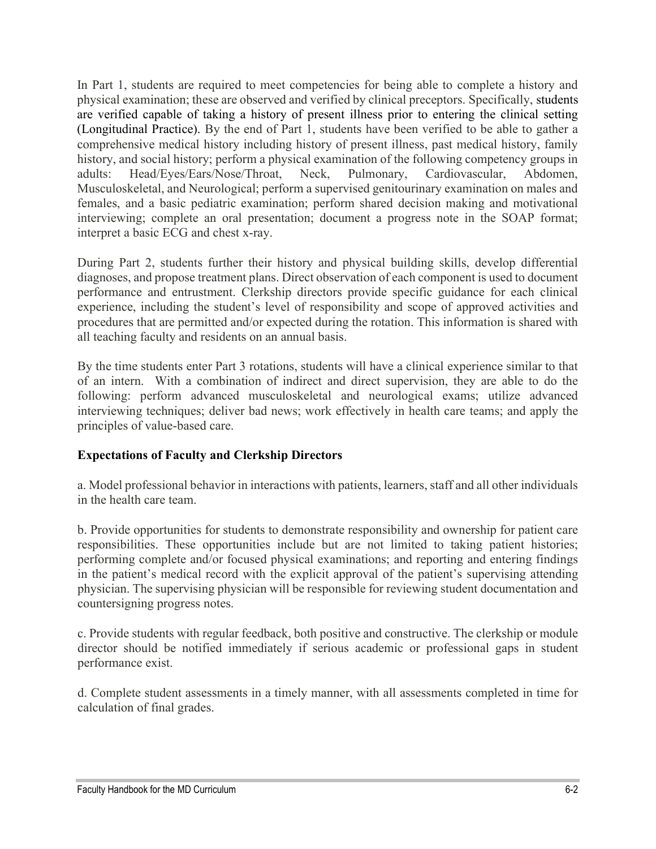In Part 1, students are required to meet competencies for being able to complete a history and physical examination; these are observed and verified by clinical preceptors. Specifically, students are verified capable of taking a history of present illness prior to entering the clinical setting (Longitudinal Practice). By the end of Part 1, students have been verified to be able to gather a comprehensive medical history including history of present illness, past medical history, family history, and social history; perform a physical examination of the following competency groups in adults: Head/Eyes/Ears/Nose/Throat, Neck, Pulmonary, Cardiovascular, Abdomen, Musculoskeletal, and Neurological; perform a supervised genitourinary examination on males and females, and a basic pediatric examination; perform shared decision making and motivational interviewing; complete an oral presentation; document a progress note in the SOAP format; interpret a basic ECG and chest x-ray.

 During Part 2, students further their history and physical building skills, develop differential diagnoses, and propose treatment plans. Direct observation of each component is used to document performance and entrustment. Clerkship directors provide specific guidance for each clinical experience, including the student's level of responsibility and scope of approved activities and procedures that are permitted and/or expected during the rotation. This information is shared with all teaching faculty and residents on an annual basis.

 By the time students enter Part 3 rotations, students will have a clinical experience similar to that of an intern. With a combination of indirect and direct supervision, they are able to do the following: perform advanced musculoskeletal and neurological exams; utilize advanced interviewing techniques; deliver bad news; work effectively in health care teams; and apply the principles of value-based care.

#### Expectations of Faculty and Clerkship Directors

 a. Model professional behavior in interactions with patients, learners, staff and all other individuals in the health care team.

 b. Provide opportunities for students to demonstrate responsibility and ownership for patient care responsibilities. These opportunities include but are not limited to taking patient histories; performing complete and/or focused physical examinations; and reporting and entering findings in the patient's medical record with the explicit approval of the patient's supervising attending physician. The supervising physician will be responsible for reviewing student documentation and countersigning progress notes.

 c. Provide students with regular feedback, both positive and constructive. The clerkship or module director should be notified immediately if serious academic or professional gaps in student performance exist.

 d. Complete student assessments in a timely manner, with all assessments completed in time for calculation of final grades.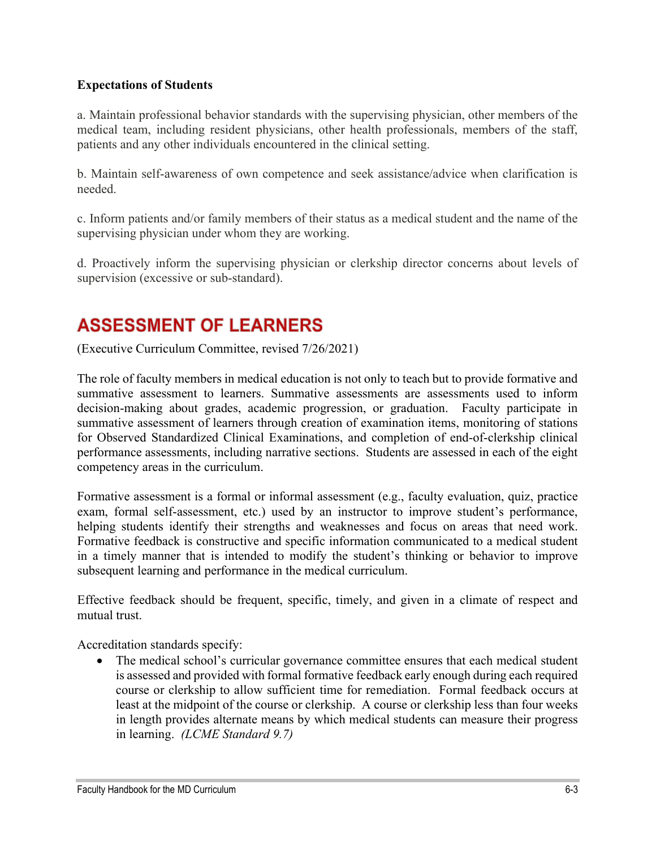#### Expectations of Students

 a. Maintain professional behavior standards with the supervising physician, other members of the medical team, including resident physicians, other health professionals, members of the staff, patients and any other individuals encountered in the clinical setting.

 b. Maintain self-awareness of own competence and seek assistance/advice when clarification is needed.

 c. Inform patients and/or family members of their status as a medical student and the name of the supervising physician under whom they are working.

 d. Proactively inform the supervising physician or clerkship director concerns about levels of supervision (excessive or sub-standard).

### **ASSESSMENT OF LEARNERS**

(Executive Curriculum Committee, revised 7/26/2021)

 The role of faculty members in medical education is not only to teach but to provide formative and summative assessment to learners. Summative assessments are assessments used to inform decision-making about grades, academic progression, or graduation. Faculty participate in summative assessment of learners through creation of examination items, monitoring of stations for Observed Standardized Clinical Examinations, and completion of end-of-clerkship clinical performance assessments, including narrative sections. Students are assessed in each of the eight competency areas in the curriculum.

 Formative assessment is a formal or informal assessment (e.g., faculty evaluation, quiz, practice exam, formal self-assessment, etc.) used by an instructor to improve student's performance, helping students identify their strengths and weaknesses and focus on areas that need work. Formative feedback is constructive and specific information communicated to a medical student in a timely manner that is intended to modify the student's thinking or behavior to improve subsequent learning and performance in the medical curriculum.

 Effective feedback should be frequent, specific, timely, and given in a climate of respect and mutual trust.

Accreditation standards specify:

 The medical school's curricular governance committee ensures that each medical student is assessed and provided with formal formative feedback early enough during each required course or clerkship to allow sufficient time for remediation. Formal feedback occurs at least at the midpoint of the course or clerkship. A course or clerkship less than four weeks in length provides alternate means by which medical students can measure their progress in learning. (LCME Standard 9.7)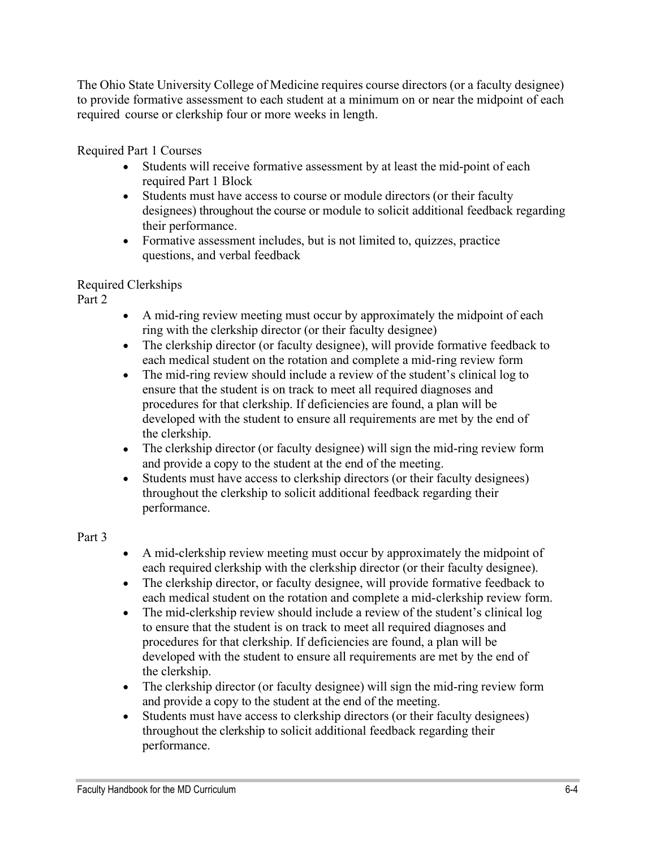The Ohio State University College of Medicine requires course directors (or a faculty designee) to provide formative assessment to each student at a minimum on or near the midpoint of each required course or clerkship four or more weeks in length.

Required Part 1 Courses

- Students will receive formative assessment by at least the mid-point of each required Part 1 Block
- designees) throughout the course or module to solicit additional feedback regarding Students must have access to course or module directors (or their faculty their performance.
- Formative assessment includes, but is not limited to, quizzes, practice questions, and verbal feedback

### Required Clerkships

Part 2

- A mid-ring review meeting must occur by approximately the midpoint of each ring with the clerkship director (or their faculty designee)
- The clerkship director (or faculty designee), will provide formative feedback to each medical student on the rotation and complete a mid-ring review form
- The mid-ring review should include a review of the student's clinical log to ensure that the student is on track to meet all required diagnoses and procedures for that clerkship. If deficiencies are found, a plan will be developed with the student to ensure all requirements are met by the end of the clerkship.
- The clerkship director (or faculty designee) will sign the mid-ring review form and provide a copy to the student at the end of the meeting.
- Students must have access to clerkship directors (or their faculty designees) throughout the clerkship to solicit additional feedback regarding their performance.

### Part 3

- A mid-clerkship review meeting must occur by approximately the midpoint of each required clerkship with the clerkship director (or their faculty designee).
- The clerkship director, or faculty designee, will provide formative feedback to each medical student on the rotation and complete a mid-clerkship review form.
- The mid-clerkship review should include a review of the student's clinical log to ensure that the student is on track to meet all required diagnoses and procedures for that clerkship. If deficiencies are found, a plan will be developed with the student to ensure all requirements are met by the end of the clerkship.
- The clerkship director (or faculty designee) will sign the mid-ring review form and provide a copy to the student at the end of the meeting.
- Students must have access to clerkship directors (or their faculty designees) throughout the clerkship to solicit additional feedback regarding their performance.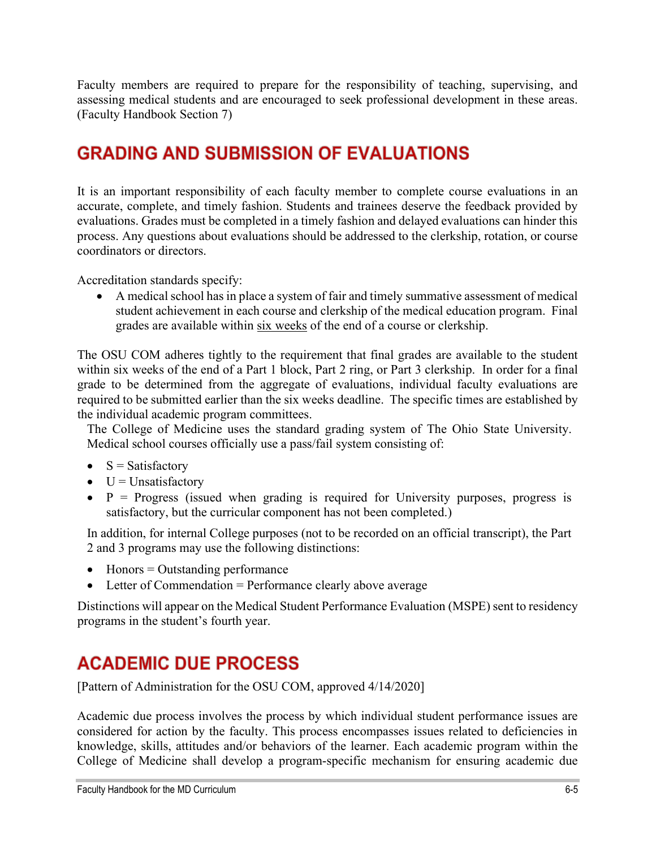Faculty members are required to prepare for the responsibility of teaching, supervising, and assessing medical students and are encouraged to seek professional development in these areas. (Faculty Handbook Section 7)

### **GRADING AND SUBMISSION OF EVALUATIONS**

 It is an important responsibility of each faculty member to complete course evaluations in an accurate, complete, and timely fashion. Students and trainees deserve the feedback provided by evaluations. Grades must be completed in a timely fashion and delayed evaluations can hinder this process. Any questions about evaluations should be addressed to the clerkship, rotation, or course coordinators or directors.

Accreditation standards specify:

• A medical school has in place a system of fair and timely summative assessment of medical student achievement in each course and clerkship of the medical education program. Final grades are available within six weeks of the end of a course or clerkship.

 The OSU COM adheres tightly to the requirement that final grades are available to the student within six weeks of the end of a Part 1 block, Part 2 ring, or Part 3 clerkship. In order for a final grade to be determined from the aggregate of evaluations, individual faculty evaluations are required to be submitted earlier than the six weeks deadline. The specific times are established by the individual academic program committees.

 The College of Medicine uses the standard grading system of The Ohio State University. Medical school courses officially use a pass/fail system consisting of:

- $\bullet$  S = Satisfactory
- $\bullet$  U = Unsatisfactory
- $\bullet$  P = Progress (issued when grading is required for University purposes, progress is satisfactory, but the curricular component has not been completed.)

 In addition, for internal College purposes (not to be recorded on an official transcript), the Part 2 and 3 programs may use the following distinctions:

- Honors = Outstanding performance
- Letter of Commendation = Performance clearly above average

 Distinctions will appear on the Medical Student Performance Evaluation (MSPE) sent to residency programs in the student's fourth year.

### **ACADEMIC DUE PROCESS**

[Pattern of Administration for the OSU COM, approved 4/14/2020]

 Academic due process involves the process by which individual student performance issues are considered for action by the faculty. This process encompasses issues related to deficiencies in knowledge, skills, attitudes and/or behaviors of the learner. Each academic program within the College of Medicine shall develop a program-specific mechanism for ensuring academic due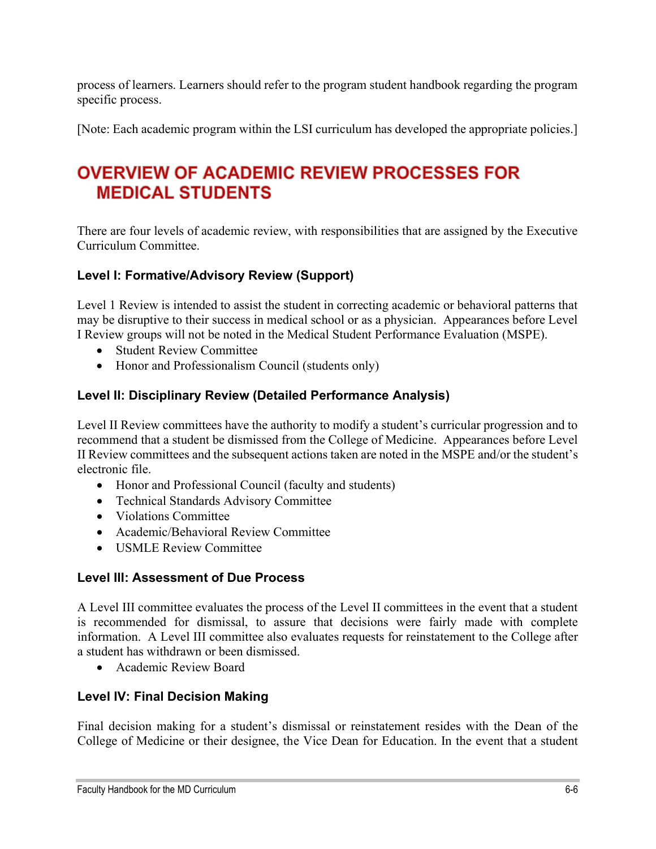process of learners. Learners should refer to the program student handbook regarding the program specific process.

[Note: Each academic program within the LSI curriculum has developed the appropriate policies.]

### **OVERVIEW OF ACADEMIC REVIEW PROCESSES FOR MEDICAL STUDENTS**

 There are four levels of academic review, with responsibilities that are assigned by the Executive Curriculum Committee.

### Level I: Formative/Advisory Review (Support)

 Level 1 Review is intended to assist the student in correcting academic or behavioral patterns that may be disruptive to their success in medical school or as a physician. Appearances before Level I Review groups will not be noted in the Medical Student Performance Evaluation (MSPE).

- Student Review Committee
- Honor and Professionalism Council (students only)

#### Level II: Disciplinary Review (Detailed Performance Analysis)

 Level II Review committees have the authority to modify a student's curricular progression and to recommend that a student be dismissed from the College of Medicine. Appearances before Level II Review committees and the subsequent actions taken are noted in the MSPE and/or the student's electronic file.

- Honor and Professional Council (faculty and students)
- Technical Standards Advisory Committee
- Violations Committee
- Academic/Behavioral Review Committee
- USMLE Review Committee

#### Level III: Assessment of Due Process

 A Level III committee evaluates the process of the Level II committees in the event that a student is recommended for dismissal, to assure that decisions were fairly made with complete information. A Level III committee also evaluates requests for reinstatement to the College after a student has withdrawn or been dismissed.

Academic Review Board

#### Level IV: Final Decision Making

 Final decision making for a student's dismissal or reinstatement resides with the Dean of the College of Medicine or their designee, the Vice Dean for Education. In the event that a student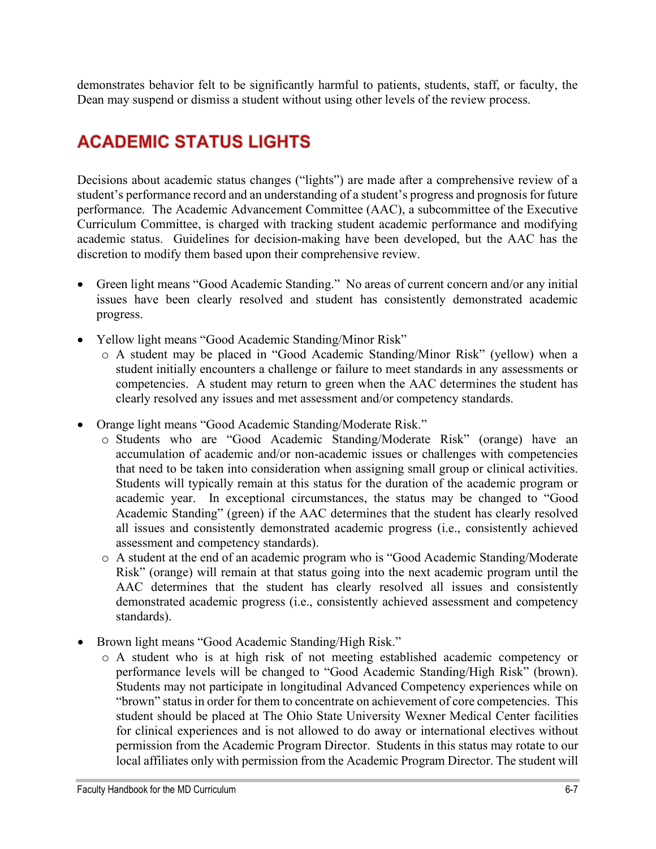demonstrates behavior felt to be significantly harmful to patients, students, staff, or faculty, the Dean may suspend or dismiss a student without using other levels of the review process.

### **ACADEMIC STATUS LIGHTS**

 Decisions about academic status changes ("lights") are made after a comprehensive review of a student's performance record and an understanding of a student's progress and prognosis for future performance. The Academic Advancement Committee (AAC), a subcommittee of the Executive Curriculum Committee, is charged with tracking student academic performance and modifying academic status. Guidelines for decision-making have been developed, but the AAC has the discretion to modify them based upon their comprehensive review.

- Green light means "Good Academic Standing." No areas of current concern and/or any initial issues have been clearly resolved and student has consistently demonstrated academic progress.
- Yellow light means "Good Academic Standing/Minor Risk"
	- o A student may be placed in "Good Academic Standing/Minor Risk" (yellow) when a student initially encounters a challenge or failure to meet standards in any assessments or competencies. A student may return to green when the AAC determines the student has clearly resolved any issues and met assessment and/or competency standards.
- Orange light means "Good Academic Standing/Moderate Risk."
	- o Students who are "Good Academic Standing/Moderate Risk" (orange) have an accumulation of academic and/or non-academic issues or challenges with competencies that need to be taken into consideration when assigning small group or clinical activities. Students will typically remain at this status for the duration of the academic program or academic year. In exceptional circumstances, the status may be changed to "Good Academic Standing" (green) if the AAC determines that the student has clearly resolved all issues and consistently demonstrated academic progress (i.e., consistently achieved assessment and competency standards).
	- o A student at the end of an academic program who is "Good Academic Standing/Moderate Risk" (orange) will remain at that status going into the next academic program until the AAC determines that the student has clearly resolved all issues and consistently demonstrated academic progress (i.e., consistently achieved assessment and competency standards).
- Brown light means "Good Academic Standing/High Risk."
	- o A student who is at high risk of not meeting established academic competency or performance levels will be changed to "Good Academic Standing/High Risk" (brown). Students may not participate in longitudinal Advanced Competency experiences while on "brown" status in order for them to concentrate on achievement of core competencies. This student should be placed at The Ohio State University Wexner Medical Center facilities for clinical experiences and is not allowed to do away or international electives without permission from the Academic Program Director. Students in this status may rotate to our local affiliates only with permission from the Academic Program Director. The student will